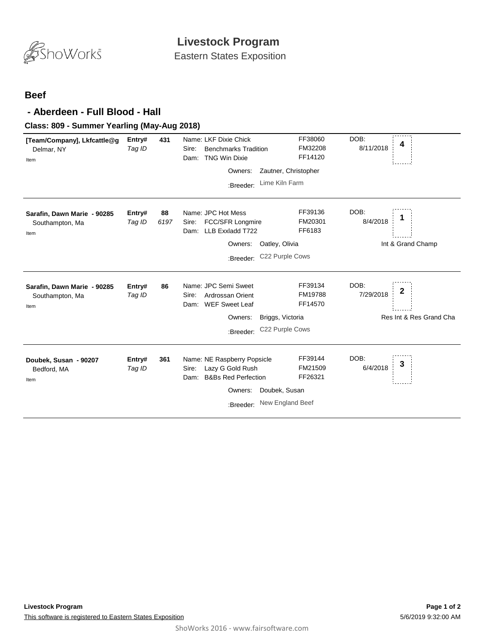

Eastern States Exposition

## **Beef**

## **- Aberdeen - Full Blood - Hall**

## **Class: 809 - Summer Yearling (May-Aug 2018)**

| [Team/Company], Lkfcattle@g<br>Delmar, NY<br>Item      | Entry#<br>Tag ID | 431        | Name: LKF Dixie Chick<br><b>Benchmarks Tradition</b><br>Sire:<br><b>TNG Win Dixie</b><br>Dam:                              | FF38060<br>FM32208<br>FF14120                                      | DOB:<br>8/11/2018 | 4                       |
|--------------------------------------------------------|------------------|------------|----------------------------------------------------------------------------------------------------------------------------|--------------------------------------------------------------------|-------------------|-------------------------|
|                                                        |                  |            | Owners:                                                                                                                    | Zautner, Christopher                                               |                   |                         |
|                                                        |                  |            | :Breeder:                                                                                                                  | Lime Kiln Farm                                                     |                   |                         |
| Sarafin, Dawn Marie - 90285<br>Southampton, Ma<br>Item | Entry#<br>Tag ID | 88<br>6197 | Name: JPC Hot Mess<br><b>FCC/SFR Longmire</b><br>Sire:<br>LLB Exxladd T722<br>Dam:                                         | FF39136<br>FM20301<br>FF6183                                       | DOB:<br>8/4/2018  | 1                       |
|                                                        |                  |            | Owners:                                                                                                                    | Oatley, Olivia                                                     |                   | Int & Grand Champ       |
|                                                        |                  |            | :Breeder:                                                                                                                  | C22 Purple Cows                                                    |                   |                         |
| Sarafin, Dawn Marie - 90285<br>Southampton, Ma<br>Item | Entry#<br>Tag ID | 86         | Name: JPC Semi Sweet<br>Ardrossan Orient<br>Sire:<br><b>WEF Sweet Leaf</b><br>Dam:                                         | FF39134<br>FM19788<br>FF14570                                      | DOB:<br>7/29/2018 | $\mathbf 2$             |
|                                                        |                  |            | Owners:                                                                                                                    | Briggs, Victoria                                                   |                   | Res Int & Res Grand Cha |
|                                                        |                  |            | :Breeder:                                                                                                                  | C22 Purple Cows                                                    |                   |                         |
| Doubek, Susan - 90207<br>Bedford, MA<br>Item           | Entry#<br>Tag ID | 361        | Name: NE Raspberry Popsicle<br>Lazy G Gold Rush<br>Sire:<br><b>B&amp;Bs Red Perfection</b><br>Dam:<br>Owners:<br>:Breeder: | FF39144<br>FM21509<br>FF26321<br>Doubek, Susan<br>New England Beef | DOB:<br>6/4/2018  | 3                       |
|                                                        |                  |            |                                                                                                                            |                                                                    |                   |                         |